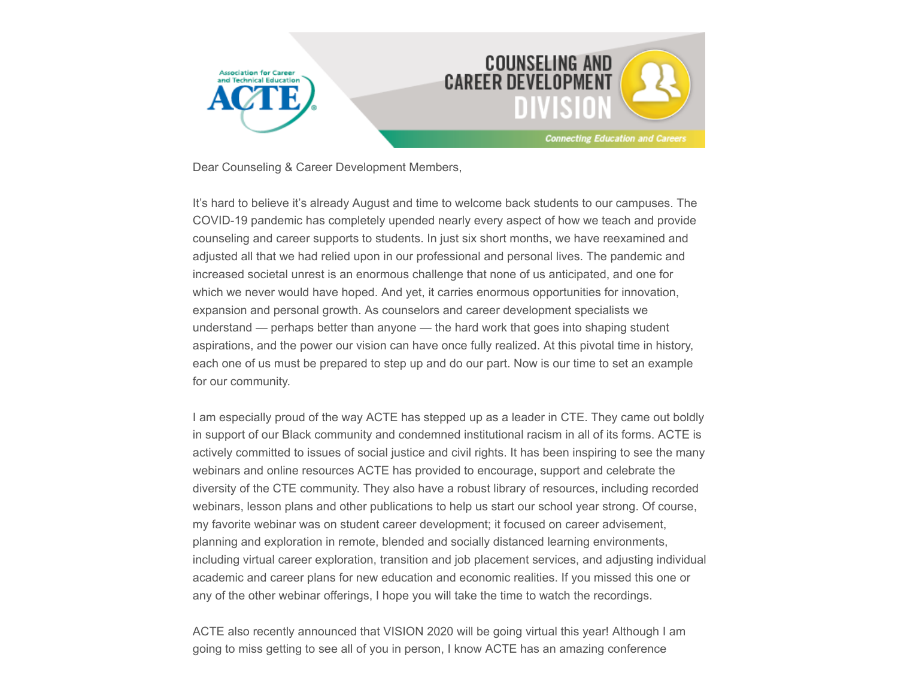

Dear Counseling & Career Development Members,

It's hard to believe it's already August and time to welcome back students to our campuses. The COVID-19 pandemic has completely upended nearly every aspect of how we teach and provide counseling and career supports to students. In just six short months, we have reexamined and adjusted all that we had relied upon in our professional and personal lives. The pandemic and increased societal unrest is an enormous challenge that none of us anticipated, and one for which we never would have hoped. And yet, it carries enormous opportunities for innovation, expansion and personal growth. As counselors and career development specialists we understand — perhaps better than anyone — the hard work that goes into shaping student aspirations, and the power our vision can have once fully realized. At this pivotal time in history, each one of us must be prepared to step up and do our part. Now is our time to set an example for our community.

I am especially proud of the way ACTE has stepped up as a leader in CTE. They came out boldly in support of our Black community and condemned institutional racism in all of its forms. ACTE is actively committed to issues of social justice and civil rights. It has been inspiring to see the many webinars and online resources ACTE has provided to encourage, support and celebrate the diversity of the CTE community. They also have a robust library of resources, including recorded webinars, lesson plans and other publications to help us start our school year strong. Of course, my favorite webinar was on student career development; it focused on career advisement, planning and exploration in remote, blended and socially distanced learning environments, including virtual career exploration, transition and job placement services, and adjusting individual academic and career plans for new education and economic realities. If you missed this one or any of the other webinar offerings, I hope you will take the time to watch the recordings.

ACTE also recently announced that VISION 2020 will be going virtual this year! Although I am going to miss getting to see all of you in person, I know ACTE has an amazing conference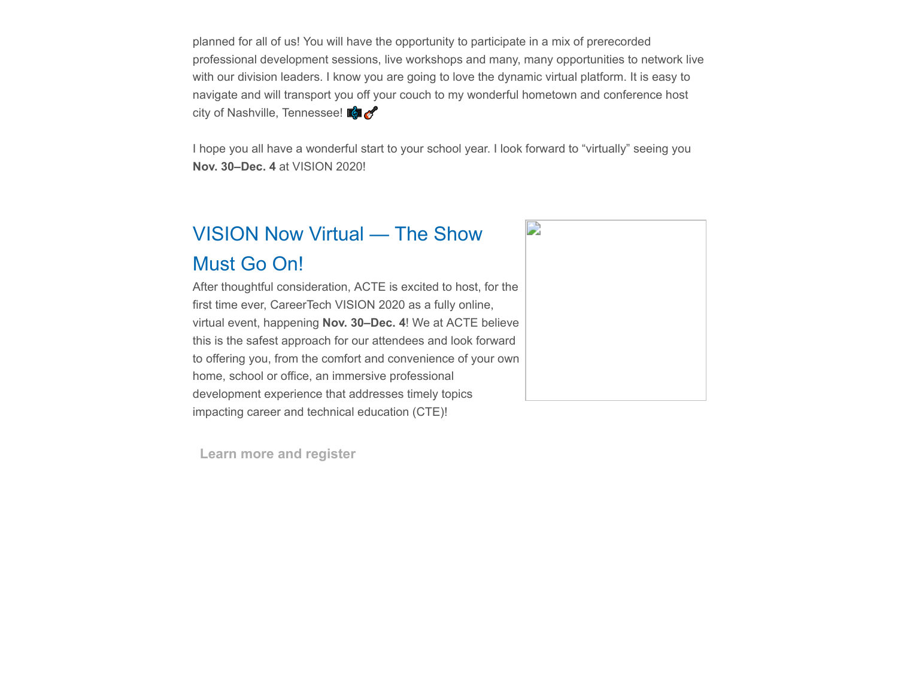planned for all of us! You will have the opportunity to participate in a mix of prerecorded professional development sessions, live workshops and many, many opportunities to network live with our division leaders. I know you are going to love the dynamic virtual platform. It is easy to navigate and will transport you off your couch to my wonderful hometown and conference host city of Nashville, Tennessee!  $\mathbb{C}$ 

I hope you all have a wonderful start to your school year. I look forward to "virtually" seeing you **Nov. 30–Dec. 4** at VISION 2020!

## VISION Now Virtual — The Show Must Go On!

After thoughtful consideration, ACTE is excited to host, for the first time ever, CareerTech VISION 2020 as a fully online, virtual event, happening **Nov. 30–Dec. 4**! We at ACTE believe this is the safest approach for our attendees and look forward to offering you, from the comfort and convenience of your own home, school or office, an immersive professional development experience that addresses timely topics impacting career and technical education (CTE)!



**[Learn more and register](https://www.careertechvision.com/index.cfm)**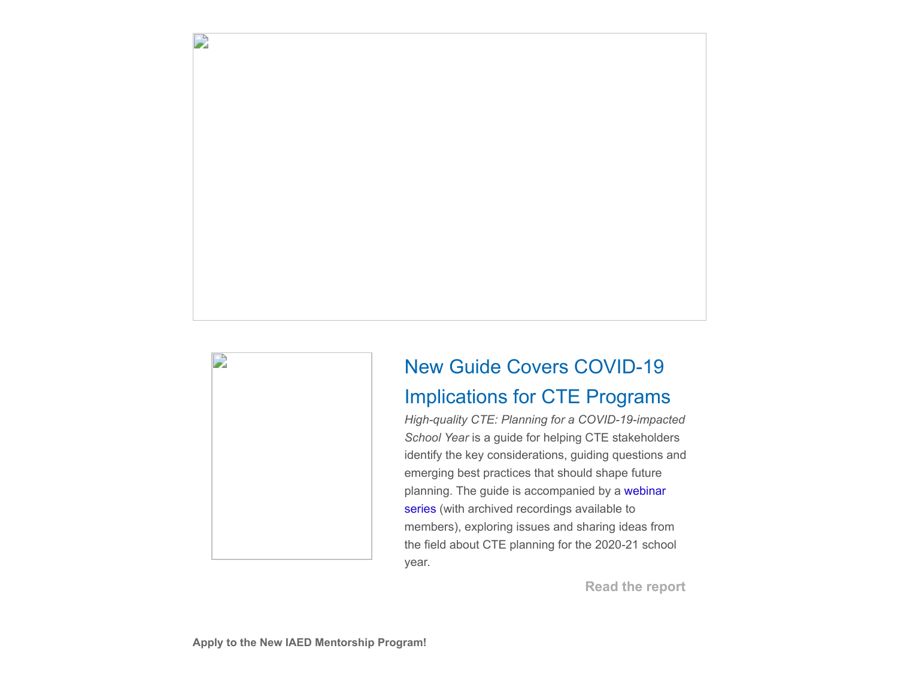

D

# New Guide Covers COVID-19 Implications for CTE Programs

*High-quality CTE: Planning for a COVID-19-impacted School Year* is a guide for helping CTE stakeholders identify the key considerations, guiding questions and emerging best practices that should shape future [planning. The guide is accompanied by a webinar](https://www.acteonline.org/hqcte-planning-covid-19/) series (with archived recordings available to members), exploring issues and sharing ideas from the field about CTE planning for the 2020-21 school year.

**[Read the report](https://www.acteonline.org/professional-development/high-quality-cte-covid-19-planning-guide/)**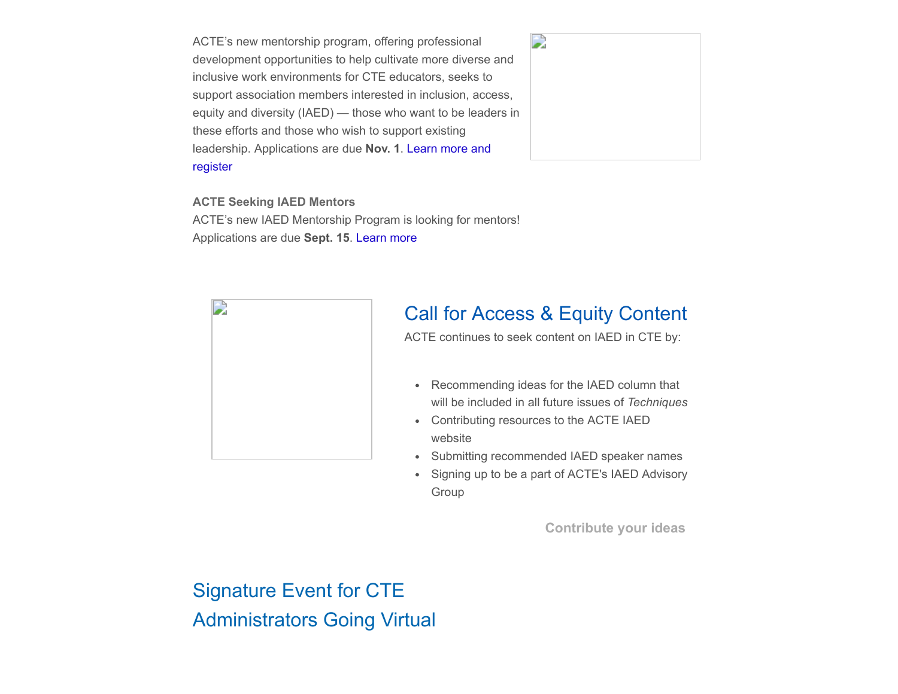ACTE's new mentorship program, offering professional development opportunities to help cultivate more diverse and inclusive work environments for CTE educators, seeks to support association members interested in inclusion, access, equity and diversity (IAED) — those who want to be leaders in these efforts and those who wish to support existing [leadership. Applications are due](https://www.acteonline.org/iaed-mentorship-program/) **Nov. 1**. Learn more and register



**ACTE Seeking IAED Mentors**

ACTE's new IAED Mentorship Program is looking for mentors! Applications are due **Sept. 15**. [Learn more](https://www.acteonline.org/iaed-mentorship-program/)



## Call for Access & Equity Content

ACTE continues to seek content on IAED in CTE by:

- Recommending ideas for the IAED column that will be included in all future issues of *Techniques*
- Contributing resources to the ACTE IAED website
- Submitting recommended IAED speaker names
- Signing up to be a part of ACTE's IAED Advisory  $\bullet$ Group

**[Contribute your ideas](https://www.acteonline.org/iaed/)**

Signature Event for CTE Administrators Going Virtual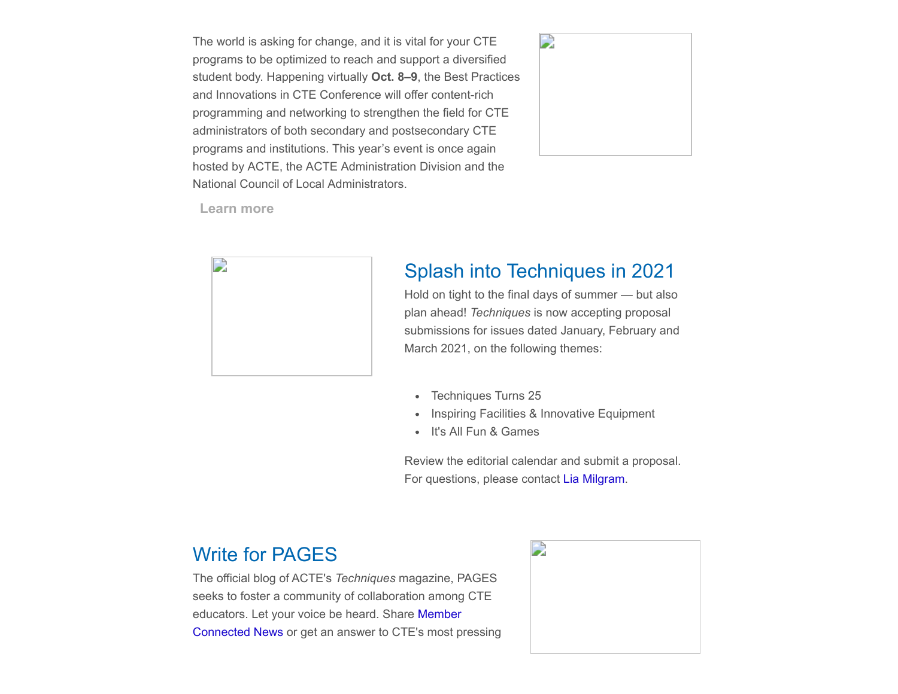The world is asking for change, and it is vital for your CTE programs to be optimized to reach and support a diversified student body. Happening virtually **Oct. 8–9**, the Best Practices and Innovations in CTE Conference will offer content-rich programming and networking to strengthen the field for CTE administrators of both secondary and postsecondary CTE programs and institutions. This year's event is once again hosted by ACTE, the ACTE Administration Division and the National Council of Local Administrators.



**[Learn more](https://www.acteonline.org/bestpractices/)**



#### Splash into Techniques in 2021

Hold on tight to the final days of summer — but also plan ahead! *Techniques* is now accepting proposal submissions for issues dated January, February and March 2021, on the following themes:

- Techniques Turns 25
- Inspiring Facilities & Innovative Equipment
- It's All Fun & Games

Review the editorial calendar and submit a proposal. For questions, please contact [Lia Milgram](mailto:lmilgram@acteonline.org?subject=Techniques%20submission).

#### Write for PAGES

The official blog of ACTE's *Techniques* magazine, PAGES seeks to foster a community of collaboration among CTE [educators. Let your voice be heard. Share](https://www.acteonline.org/publications/techniques/submit-member-connected-news/) Member Connected News or get an answer to CTE's most pressing